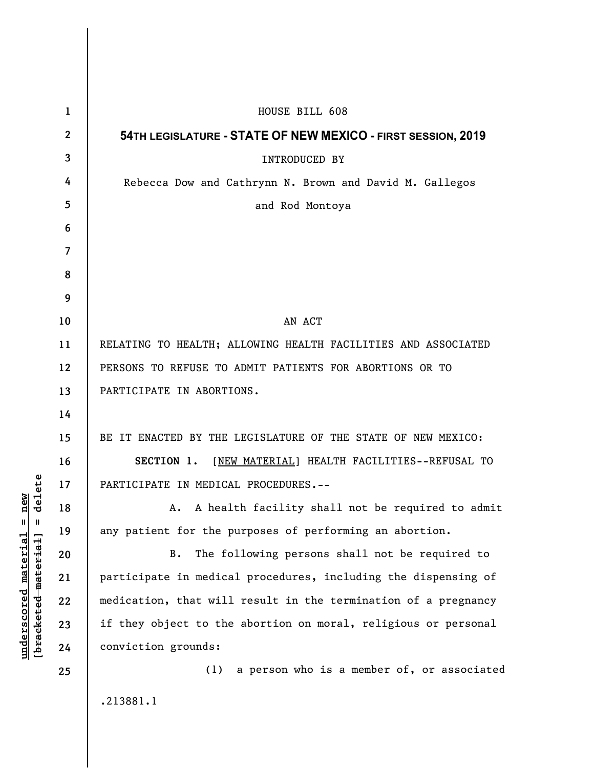| 1                        | HOUSE BILL 608                                                 |
|--------------------------|----------------------------------------------------------------|
| $\boldsymbol{2}$         | 54TH LEGISLATURE - STATE OF NEW MEXICO - FIRST SESSION, 2019   |
| 3                        | <b>INTRODUCED BY</b>                                           |
| 4                        | Rebecca Dow and Cathrynn N. Brown and David M. Gallegos        |
| 5                        | and Rod Montoya                                                |
| 6                        |                                                                |
| $\overline{\mathcal{L}}$ |                                                                |
| 8                        |                                                                |
| 9                        |                                                                |
| 10                       | AN ACT                                                         |
| 11                       | RELATING TO HEALTH; ALLOWING HEALTH FACILITIES AND ASSOCIATED  |
| 12                       | PERSONS TO REFUSE TO ADMIT PATIENTS FOR ABORTIONS OR TO        |
| 13                       | PARTICIPATE IN ABORTIONS.                                      |
| 14                       |                                                                |
| 15                       | BE IT ENACTED BY THE LEGISLATURE OF THE STATE OF NEW MEXICO:   |
| 16                       | SECTION 1. [NEW MATERIAL] HEALTH FACILITIES--REFUSAL TO        |
| 17                       | PARTICIPATE IN MEDICAL PROCEDURES.--                           |
| 18                       | A. A health facility shall not be required to admit            |
| 19                       | any patient for the purposes of performing an abortion.        |
| 20                       | The following persons shall not be required to<br>B.           |
| 21                       | participate in medical procedures, including the dispensing of |
| 22                       | medication, that will result in the termination of a pregnancy |
| 23                       | if they object to the abortion on moral, religious or personal |
| 24                       | conviction grounds:                                            |
| 25                       | a person who is a member of, or associated<br>(1)              |
|                          | .213881.1                                                      |

**underscored material = new [bracketed material] = delete**

 $[**bracket eted metert et**] = **del et e**$  $underscored material = new$ 

I